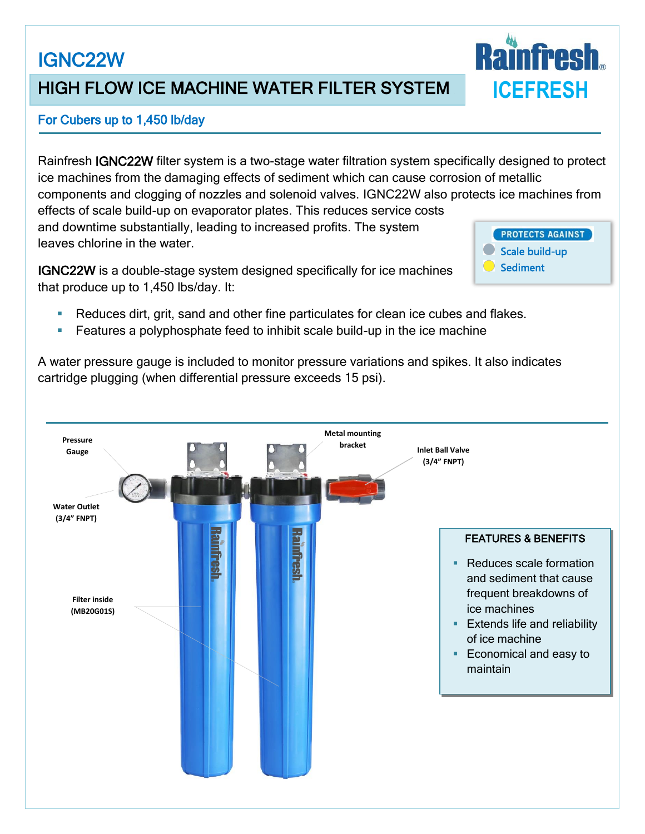# IGNC22W

## HIGH FLOW ICE MACHINE WATER FILTER SYSTEM

#### For Cubers up to 1,450 lb/day

Rainfresh IGNC22W filter system is a two-stage water filtration system specifically designed to protect ice machines from the damaging effects of sediment which can cause corrosion of metallic components and clogging of nozzles and solenoid valves. IGNC22W also protects ice machines from effects of scale build-up on evaporator plates. This reduces service costs and downtime substantially, leading to increased profits. The system **PROTECTS AGAINST** leaves chlorine in the water. Scale build-up

IGNC22W is a double-stage system designed specifically for ice machines that produce up to 1,450 lbs/day. It:

Reduces dirt, grit, sand and other fine particulates for clean ice cubes and flakes.

**Features a polyphosphate feed to inhibit scale build-up in the ice machine** 

A water pressure gauge is included to monitor pressure variations and spikes. It also indicates cartridge plugging (when differential pressure exceeds 15 psi).





Sediment